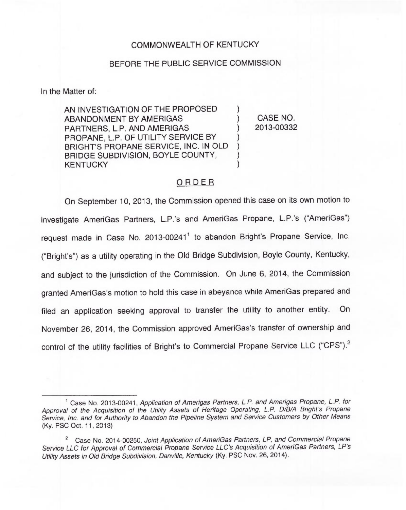## COMMONWEALTH OF KENTUCKY

## BEFORE THE PUBLIC SERVICE COMMISSION

In the Matter of:

AN INVESTIGATION OF THE PROPOSED ABANDONMENT BY AMERIGAS PARTNERS, L.P. AND AMERIGAS PROPANE, L.P. OF UTILITY SERVICE BY BRIGHT'S PROPANE SERVICE, INC. IN OLD BRIDGE SUBDIVISION, BOYLE COUNTY, **KENTUCKY** 

) CASE NO. ) 2013-00332

)

) ) ) )

## ORDER

On September 10, 2013, the Commission opened this case on its own motion to investigate AmeriGas Partners, L.P.'s and AmeriGas Propane, L.P.'s ("AmeriGas") request made in Case No. 2013-00241<sup>1</sup> to abandon Bright's Propane Service, Inc. ("Bright's") as a utility operating in the Old Bridge Subdivision, Boyle County, Kentucky, and subject to the jurisdiction of the Commission. On June 6, 2014, the Commission granted AmeriGas's motion to hold this case in abeyance while AmeriGas prepared and filed an application seeking approval to transfer the utility to another entity. On November 26, 2014, the Commission approved AmeriGas's transfer of ownership and control of the utility facilities of Bright's to Commercial Propane Service LLC ("CPS").<sup>2</sup>

<sup>&</sup>lt;sup>1</sup> Case No. 2013-00241, Application of Amerigas Partners, L.P. and Amerigas Propane, L.P. for Approval of the Acquisition of the Utility Assets of Heritage Operating, L.P. D/B/A Bright's Propane Service, Inc. and for Authority to Abandon the Pipeline System and Service Customers by Other Means (Ky. PSC Oct. 11, 2013)

<sup>&</sup>lt;sup>2</sup> Case No. 2014-00250, Joint Application of AmeriGas Partners, LP, and Commercial Propane Service LLC for Approval of Commercial Propane Service LLC's Acquisition of AmeriGas Partners, LP's Utility Assets in Old Bridge Subdivision, Danville, Kentucky (Ky. PSC Nov. 26, 2014).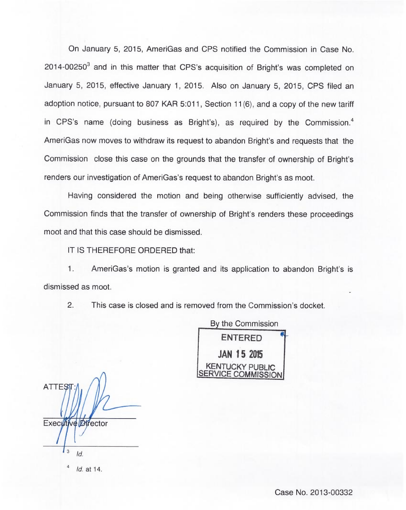On January 5, 2015, AmeriGas and CPS notified the Commission in Case No.  $2014$ -00250 $^3$  and in this matter that CPS's acquisition of Bright's was completed on January 5, 2015, effective January 1, 2015. Also on January 5, 2015, CPS filed an adoption notice, pursuant to 807 KAR 5:011, Section 11(6), and a copy of the new tariff in CPS's name (doing business as Bright's), as required by the Commission.<sup>4</sup> AmeriGas now moves to withdraw its request to abandon Bright's and requests that the Commission close this case on the grounds that the transfer of ownership of Bright's renders our investigation of AmeriGas's request to abandon Bright's as moot.

Having considered the motion and being otherwise sufficiently advised, the Commission finds that the transfer of ownership of Bright's renders these proceedings moot and that this case should be dismissed.

IT IS THEREFORE ORDERED that:

1. AmeriGas's motion is granted and its application to abandon Bright's is dismissed as moot.

2. This case is closed and is removed from the Commission's docket.



ATTES<sub>1</sub> Executive Director  $\overline{3}$  $Id.$ 

Id. at 14.

Case No. 2013-00332